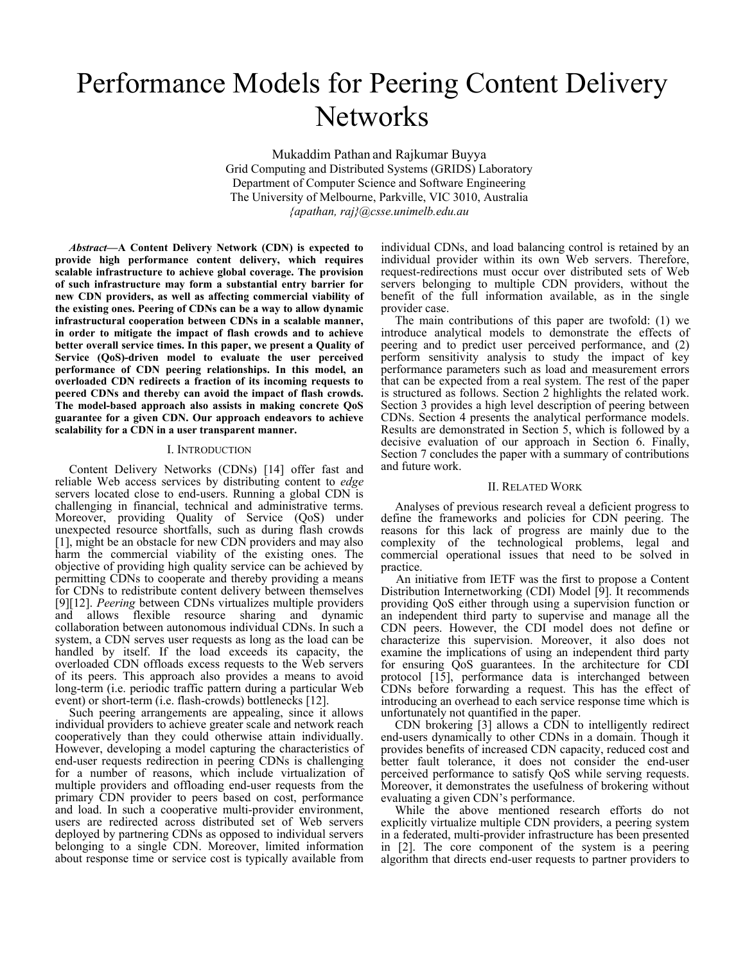# Performance Models for Peering Content Delivery **Networks**

Mukaddim Pathan and Rajkumar Buyya Grid Computing and Distributed Systems (GRIDS) Laboratory Department of Computer Science and Software Engineering The University of Melbourne, Parkville, VIC 3010, Australia *{apathan, raj}@csse.unimelb.edu.au*

*Abstract—***A Content Delivery Network (CDN) is expected to provide high performance content delivery, which requires scalable infrastructure to achieve global coverage. The provision of such infrastructure may form a substantial entry barrier for new CDN providers, as well as affecting commercial viability of the existing ones. Peering of CDNs can be a way to allow dynamic infrastructural cooperation between CDNs in a scalable manner, in order to mitigate the impact of flash crowds and to achieve better overall service times. In this paper, we present a Quality of Service (QoS)-driven model to evaluate the user perceived performance of CDN peering relationships. In this model, an overloaded CDN redirects a fraction of its incoming requests to peered CDNs and thereby can avoid the impact of flash crowds. The model-based approach also assists in making concrete QoS guarantee for a given CDN. Our approach endeavors to achieve scalability for a CDN in a user transparent manner.**

#### I. INTRODUCTION

Content Delivery Networks (CDNs) [14] offer fast and reliable Web access services by distributing content to *edge* servers located close to end-users. Running a global CDN is challenging in financial, technical and administrative terms. Moreover, providing Quality of Service (QoS) under unexpected resource shortfalls, such as during flash crowds [1], might be an obstacle for new CDN providers and may also harm the commercial viability of the existing ones. The objective of providing high quality service can be achieved by permitting CDNs to cooperate and thereby providing a means for CDNs to redistribute content delivery between themselves [9][12]. *Peering* between CDNs virtualizes multiple providers and allows flexible resource sharing and dynamic collaboration between autonomous individual CDNs. In such a system, a CDN serves user requests as long as the load can be handled by itself. If the load exceeds its capacity, the overloaded CDN offloads excess requests to the Web servers of its peers. This approach also provides a means to avoid long-term (i.e. periodic traffic pattern during a particular Web event) or short-term (i.e. flash-crowds) bottlenecks [12].

Such peering arrangements are appealing, since it allows individual providers to achieve greater scale and network reach cooperatively than they could otherwise attain individually. However, developing a model capturing the characteristics of end-user requests redirection in peering CDNs is challenging for a number of reasons, which include virtualization of multiple providers and offloading end-user requests from the primary CDN provider to peers based on cost, performance and load. In such a cooperative multi-provider environment, users are redirected across distributed set of Web servers deployed by partnering CDNs as opposed to individual servers belonging to a single CDN. Moreover, limited information about response time or service cost is typically available from

individual CDNs, and load balancing control is retained by an individual provider within its own Web servers. Therefore, request-redirections must occur over distributed sets of Web servers belonging to multiple CDN providers, without the benefit of the full information available, as in the single provider case.

The main contributions of this paper are twofold: (1) we introduce analytical models to demonstrate the effects of peering and to predict user perceived performance, and (2) perform sensitivity analysis to study the impact of key performance parameters such as load and measurement errors that can be expected from a real system. The rest of the paper is structured as follows. Section 2 highlights the related work. Section 3 provides a high level description of peering between CDNs. Section 4 presents the analytical performance models. Results are demonstrated in Section 5, which is followed by a decisive evaluation of our approach in Section 6. Finally, Section 7 concludes the paper with a summary of contributions and future work.

## II. RELATED WORK

Analyses of previous research reveal a deficient progress to define the frameworks and policies for CDN peering. The reasons for this lack of progress are mainly due to the complexity of the technological problems, legal and commercial operational issues that need to be solved in practice.

An initiative from IETF was the first to propose a Content Distribution Internetworking (CDI) Model [9]. It recommends providing QoS either through using a supervision function or an independent third party to supervise and manage all the CDN peers. However, the CDI model does not define or characterize this supervision. Moreover, it also does not examine the implications of using an independent third party for ensuring QoS guarantees. In the architecture for CDI protocol [15], performance data is interchanged between CDNs before forwarding a request. This has the effect of introducing an overhead to each service response time which is unfortunately not quantified in the paper.

CDN brokering [3] allows a CDN to intelligently redirect end-users dynamically to other CDNs in a domain. Though it provides benefits of increased CDN capacity, reduced cost and better fault tolerance, it does not consider the end-user perceived performance to satisfy QoS while serving requests. Moreover, it demonstrates the usefulness of brokering without evaluating a given CDN's performance.

While the above mentioned research efforts do not explicitly virtualize multiple CDN providers, a peering system in a federated, multi-provider infrastructure has been presented in [2]. The core component of the system is a peering algorithm that directs end-user requests to partner providers to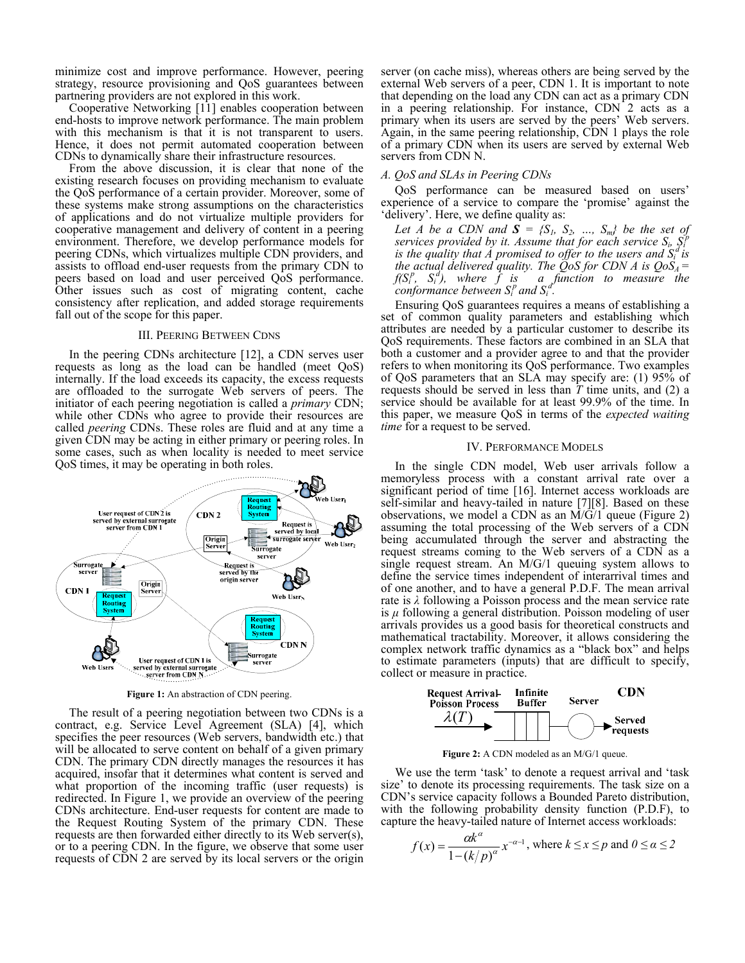minimize cost and improve performance. However, peering strategy, resource provisioning and QoS guarantees between partnering providers are not explored in this work.

Cooperative Networking [11] enables cooperation between end-hosts to improve network performance. The main problem with this mechanism is that it is not transparent to users. Hence, it does not permit automated cooperation between CDNs to dynamically share their infrastructure resources.

From the above discussion, it is clear that none of the existing research focuses on providing mechanism to evaluate the QoS performance of a certain provider. Moreover, some of these systems make strong assumptions on the characteristics of applications and do not virtualize multiple providers for cooperative management and delivery of content in a peering environment. Therefore, we develop performance models for peering CDNs, which virtualizes multiple CDN providers, and assists to offload end-user requests from the primary CDN to peers based on load and user perceived QoS performance. Other issues such as cost of migrating content, cache consistency after replication, and added storage requirements fall out of the scope for this paper.

## III. PEERING BETWEEN CDNS

In the peering CDNs architecture [12], a CDN serves user requests as long as the load can be handled (meet QoS) internally. If the load exceeds its capacity, the excess requests are offloaded to the surrogate Web servers of peers. The initiator of each peering negotiation is called a *primary* CDN; while other CDNs who agree to provide their resources are called *peering* CDNs. These roles are fluid and at any time a given CDN may be acting in either primary or peering roles. In some cases, such as when locality is needed to meet service QoS times, it may be operating in both roles.



Figure 1: An abstraction of CDN peering.

The result of a peering negotiation between two CDNs is a contract, e.g. Service Level Agreement (SLA) [4], which specifies the peer resources (Web servers, bandwidth etc.) that will be allocated to serve content on behalf of a given primary CDN. The primary CDN directly manages the resources it has acquired, insofar that it determines what content is served and what proportion of the incoming traffic (user requests) is redirected. In Figure 1, we provide an overview of the peering CDNs architecture. End-user requests for content are made to the Request Routing System of the primary CDN. These requests are then forwarded either directly to its Web server(s), or to a peering CDN. In the figure, we observe that some user requests of CDN 2 are served by its local servers or the origin server (on cache miss), whereas others are being served by the external Web servers of a peer, CDN 1. It is important to note that depending on the load any CDN can act as a primary CDN in a peering relationship. For instance, CDN 2 acts as a primary when its users are served by the peers' Web servers. Again, in the same peering relationship, CDN 1 plays the role of a primary CDN when its users are served by external Web servers from CDN N.

## *A. QoS and SLAs in Peering CDNs*

QoS performance can be measured based on users' experience of a service to compare the 'promise' against the 'delivery'. Here, we define quality as:

Let A be a CDN and  $S = \{S_1, S_2, ..., S_m\}$  be the set of services provided by it. Assume that for each service  $S_i$ ,  $S_i^p$ is the quality that  $\vec{A}$  promised to offer to the users and  $S_i^d$  is *the actual delivered quality. The QoS for CDN A is*  $QoS_A = f(S_i^p, S_i^d)$ *, where f is a function to measure the conformance between*  $S_i^p$  and  $S_i^d$ .

Ensuring QoS guarantees requires a means of establishing a set of common quality parameters and establishing which attributes are needed by a particular customer to describe its QoS requirements. These factors are combined in an SLA that both a customer and a provider agree to and that the provider refers to when monitoring its QoS performance. Two examples of QoS parameters that an SLA may specify are: (1) 95% of requests should be served in less than *T* time units, and (2) a service should be available for at least 99.9% of the time. In this paper, we measure QoS in terms of the *expected waiting time* for a request to be served.

## IV. PERFORMANCE MODELS

In the single CDN model, Web user arrivals follow a memoryless process with a constant arrival rate over a significant period of time [16]. Internet access workloads are self-similar and heavy-tailed in nature [7][8]. Based on these observations, we model a CDN as an  $\overline{M}/\overline{G}/\overline{1}$  queue (Figure 2) assuming the total processing of the Web servers of a CDN being accumulated through the server and abstracting the request streams coming to the Web servers of a CDN as a single request stream. An M/G/1 queuing system allows to define the service times independent of interarrival times and of one another, and to have a general P.D.F. The mean arrival rate is *λ* following a Poisson process and the mean service rate is *µ* following a general distribution. Poisson modeling of user arrivals provides us a good basis for theoretical constructs and mathematical tractability. Moreover, it allows considering the complex network traffic dynamics as a "black box" and helps to estimate parameters (inputs) that are difficult to specify, collect or measure in practice.



**Figure 2:** A CDN modeled as an M/G/1 queue.

We use the term 'task' to denote a request arrival and 'task size' to denote its processing requirements. The task size on a CDN's service capacity follows a Bounded Pareto distribution, with the following probability density function (P.D.F), to capture the heavy-tailed nature of Internet access workloads:

$$
f(x) = \frac{\alpha k^{\alpha}}{1 - (k/p)^{\alpha}} x^{-\alpha - 1}, \text{ where } k \le x \le p \text{ and } 0 \le \alpha \le 2
$$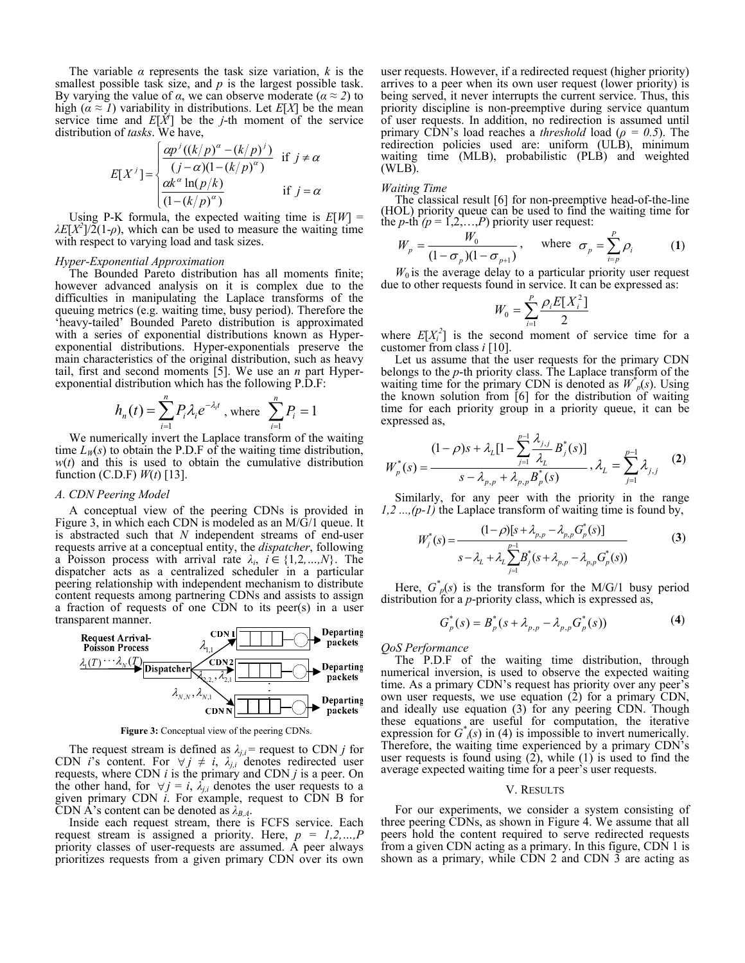The variable  $\alpha$  represents the task size variation,  $k$  is the smallest possible task size, and *p* is the largest possible task. By varying the value of *α*, we can observe moderate ( $\alpha \approx 2$ ) to high  $(a \approx I)$  variability in distributions. Let  $E[X]$  be the mean service time and  $E[\check{X}]$  be the *j*-th moment of the service distribution of *tasks*. We have,

$$
E[X^j] = \begin{cases} \frac{\alpha p^j((k/p)^\alpha - (k/p)^j)}{(j-\alpha)(1-(k/p)^\alpha)} & \text{if } j \neq \alpha\\ \frac{\alpha k^\alpha \ln(p/k)}{(1-(k/p)^\alpha)} & \text{if } j = \alpha \end{cases}
$$

Using P-K formula, the expected waiting time is  $E[W] =$  $\lambda E[X^2]/2(1-\rho)$ , which can be used to measure the waiting time with respect to varying load and task sizes.

#### *Hyper-Exponential Approximation*

The Bounded Pareto distribution has all moments finite; however advanced analysis on it is complex due to the difficulties in manipulating the Laplace transforms of the queuing metrics (e.g. waiting time, busy period). Therefore the 'heavy-tailed' Bounded Pareto distribution is approximated with a series of exponential distributions known as Hyperexponential distributions. Hyper-exponentials preserve the main characteristics of the original distribution, such as heavy tail, first and second moments [5]. We use an *n* part Hyperexponential distribution which has the following P.D.F:

$$
h_n(t) = \sum_{i=1}^n P_i \lambda_i e^{-\lambda_i t}
$$
, where  $\sum_{i=1}^n P_i = 1$ 

We numerically invert the Laplace transform of the waiting time  $L_W(s)$  to obtain the P.D.F of the waiting time distribution,  $w(t)$  and this is used to obtain the cumulative distribution function (C.D.F)  $W(t)$  [13].

## *A. CDN Peering Model*

A conceptual view of the peering CDNs is provided in Figure 3, in which each CDN is modeled as an M/G/1 queue. It is abstracted such that *N* independent streams of end-user requests arrive at a conceptual entity, the *dispatcher*, following a Poisson process with arrival rate  $\lambda_i$ ,  $i \in \{1, 2, ..., N\}$ . The dispatcher acts as a centralized scheduler in a particular peering relationship with independent mechanism to distribute content requests among partnering CDNs and assists to assign a fraction of requests of one CDN to its peer(s) in a user transparent manner.



**Figure 3:** Conceptual view of the peering CDNs.

The request stream is defined as  $\lambda_{i,i}$  = request to CDN *j* for CDN *i*'s content. For  $\forall j \neq i$ ,  $\lambda_{j,i}$  denotes redirected user requests, where CDN *i* is the primary and CDN *j* is a peer. On the other hand, for  $\forall j = i$ ,  $\lambda_{j,i}$  denotes the user requests to a given primary CDN *i*. For example, request to CDN B for CDN A's content can be denoted as  $\lambda_{B,A}$ .

Inside each request stream, there is FCFS service. Each request stream is assigned a priority. Here, *p = 1,2,…,P* priority classes of user-requests are assumed. A peer always prioritizes requests from a given primary CDN over its own user requests. However, if a redirected request (higher priority) arrives to a peer when its own user request (lower priority) is being served, it never interrupts the current service. Thus, this priority discipline is non-preemptive during service quantum of user requests. In addition, no redirection is assumed until primary CDN's load reaches a *threshold* load ( $\rho = 0.5$ ). The redirection policies used are: uniform (ULB), minimum waiting time (MLB), probabilistic (PLB) and weighted (WLB).

*Waiting Time*  The classical result [6] for non-preemptive head-of-the-line (HOL) priority queue can be used to find the waiting time for the *p*-th  $(p = 1, 2, \ldots, P)$  priority user request:

$$
W_p = \frac{W_0}{(1 - \sigma_p)(1 - \sigma_{p+1})}, \quad \text{where } \sigma_p = \sum_{i=p}^P \rho_i \tag{1}
$$

 $W_0$  is the average delay to a particular priority user request due to other requests found in service. It can be expressed as:

$$
W_0 = \sum_{i=1}^P \frac{\rho_i E[X_i^2]}{2}
$$

where  $E[X_i^2]$  is the second moment of service time for a customer from class *i* [10].

Let us assume that the user requests for the primary CDN belongs to the *p*-th priority class. The Laplace transform of the waiting time for the primary CDN is denoted as  $W^*_{p}(s)$ . Using the known solution from [6] for the distribution of waiting time for each priority group in a priority queue, it can be expressed as,

$$
(1 - \rho)s + \lambda_L [1 - \sum_{j=1}^{p-1} \frac{\lambda_{j,j}}{\lambda_L} B_j^*(s)]
$$
  

$$
W_p^*(s) = \frac{1}{s - \lambda_{p,p} + \lambda_{p,p} B_p^*(s)}, \lambda_L = \sum_{j=1}^{p-1} \lambda_{j,j}
$$
 (2)

Similarly, for any peer with the priority in the range *1,2 ...,(p-1)* the Laplace transform of waiting time is found by,

$$
W_j^*(s) = \frac{(1-\rho)[s+\lambda_{p,p}-\lambda_{p,p}G_p^*(s)]}{s-\lambda_L+\lambda_L\sum_{j=1}^{p-1}B_j^*(s+\lambda_{p,p}-\lambda_{p,p}G_p^*(s))}
$$
(3)

Here,  $G^*_{p}(s)$  is the transform for the M/G/1 busy period distribution for a *p*-priority class, which is expressed as,

$$
G_p^*(s) = B_p^*(s + \lambda_{p,p} - \lambda_{p,p} G_p^*(s))
$$
\n(4)

## *QoS Performance*

The P.D.F of the waiting time distribution, through numerical inversion, is used to observe the expected waiting time. As a primary CDN's request has priority over any peer's own user requests, we use equation (2) for a primary CDN, and ideally use equation (3) for any peering CDN. Though these equations are useful for computation, the iterative expression for  $G^*(s)$  in (4) is impossible to invert numerically. Therefore, the waiting time experienced by a primary CDN's user requests is found using  $(2)$ , while  $(1)$  is used to find the average expected waiting time for a peer's user requests.

#### V. RESULTS

For our experiments, we consider a system consisting of three peering CDNs, as shown in Figure 4. We assume that all peers hold the content required to serve redirected requests from a given CDN acting as a primary. In this figure, CDN 1 is shown as a primary, while CDN 2 and CDN 3 are acting as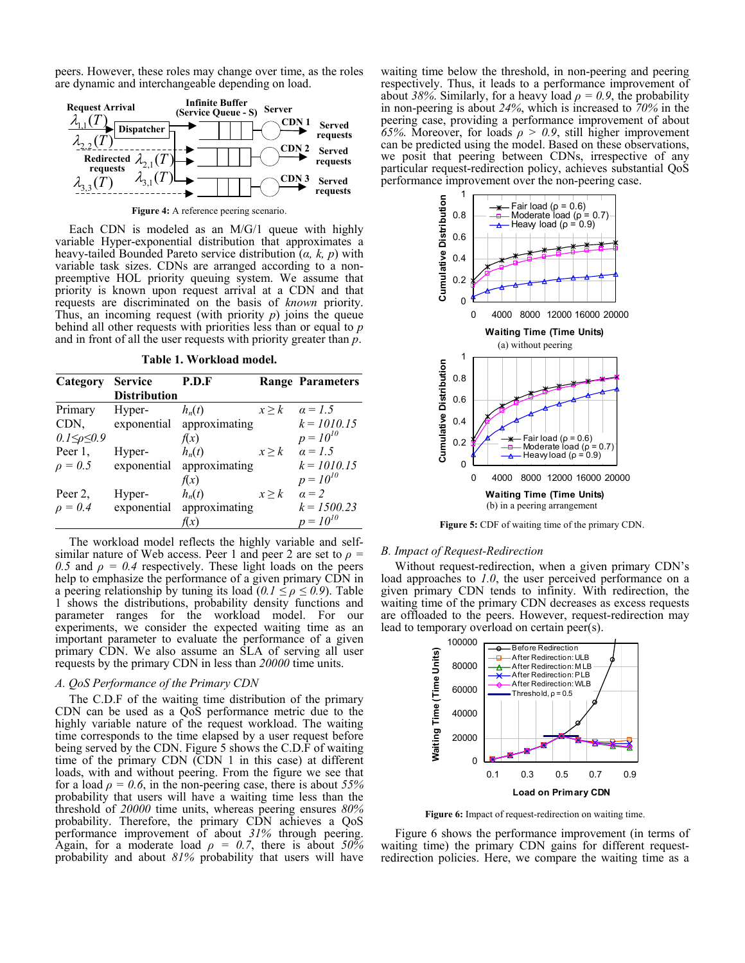peers. However, these roles may change over time, as the roles are dynamic and interchangeable depending on load.



**Figure 4:** A reference peering scenario.

Each CDN is modeled as an M/G/1 queue with highly variable Hyper-exponential distribution that approximates a heavy-tailed Bounded Pareto service distribution (*α, k, p*) with variable task sizes. CDNs are arranged according to a nonpreemptive HOL priority queuing system. We assume that priority is known upon request arrival at a CDN and that requests are discriminated on the basis of *known* priority. Thus, an incoming request (with priority *p*) joins the queue behind all other requests with priorities less than or equal to *p* and in front of all the user requests with priority greater than *p*.

**Table 1. Workload model.** 

| Category         | <b>Service</b>      | P.D.F         |       | <b>Range Parameters</b> |
|------------------|---------------------|---------------|-------|-------------------------|
|                  | <b>Distribution</b> |               |       |                         |
| Primary          | Hyper-              | $h_n(t)$      | x > k | $\alpha = 1.5$          |
| CDN,             | exponential         | approximating |       | $k = 1010.15$           |
| 0.1≤ $\rho$ ≤0.9 |                     | f(x)          |       | $p = 10^{10}$           |
| Peer 1,          | Hyper-              | $h_n(t)$      | x > k | $\alpha = 1.5$          |
| $\rho = 0.5$     | exponential         | approximating |       | $k = 1010.15$           |
|                  |                     | f(x)          |       | $p = 10^{10}$           |
| Peer 2,          | Hyper-              | $h_n(t)$      | x > k | $\alpha = 2$            |
| $\rho = 0.4$     | exponential         | approximating |       | $k = 1500.23$           |
|                  |                     | f(x)          |       | $p = 10^{10}$           |

The workload model reflects the highly variable and selfsimilar nature of Web access. Peer 1 and peer 2 are set to  $\rho = 0.5$  and  $\rho = 0.4$  respectively. These light loads on the peers help to emphasize the performance of a given primary CDN in a peering relationship by tuning its load  $(0.1 \leq \rho \leq 0.9)$ . Table 1 shows the distributions, probability density functions and parameter ranges for the workload model. For our experiments, we consider the expected waiting time as an important parameter to evaluate the performance of a given primary CDN. We also assume an SLA of serving all user requests by the primary CDN in less than *20000* time units.

## *A. QoS Performance of the Primary CDN*

The C.D.F of the waiting time distribution of the primary CDN can be used as a QoS performance metric due to the highly variable nature of the request workload. The waiting time corresponds to the time elapsed by a user request before being served by the CDN. Figure 5 shows the C.D.F of waiting time of the primary CDN (CDN 1 in this case) at different loads, with and without peering. From the figure we see that for a load  $\rho = 0.6$ , in the non-peering case, there is about 55% probability that users will have a waiting time less than the threshold of *20000* time units, whereas peering ensures *80%* probability. Therefore, the primary CDN achieves a QoS performance improvement of about *31%* through peering. Again, for a moderate load  $\rho = 0.7$ , there is about  $50\%$ probability and about *81%* probability that users will have waiting time below the threshold, in non-peering and peering respectively. Thus, it leads to a performance improvement of about 38%. Similarly, for a heavy load  $\rho = 0.9$ , the probability in non-peering is about *24%*, which is increased to *70%* in the peering case, providing a performance improvement of about *65%*. Moreover, for loads *ρ > 0.9*, still higher improvement can be predicted using the model. Based on these observations, we posit that peering between CDNs, irrespective of any particular request-redirection policy, achieves substantial QoS performance improvement over the non-peering case.



**Figure 5:** CDF of waiting time of the primary CDN.

#### *B. Impact of Request-Redirection*

Without request-redirection, when a given primary CDN's load approaches to *1.0*, the user perceived performance on a given primary CDN tends to infinity. With redirection, the waiting time of the primary CDN decreases as excess requests are offloaded to the peers. However, request-redirection may lead to temporary overload on certain peer(s).



**Figure 6:** Impact of request-redirection on waiting time.

Figure 6 shows the performance improvement (in terms of waiting time) the primary CDN gains for different requestredirection policies. Here, we compare the waiting time as a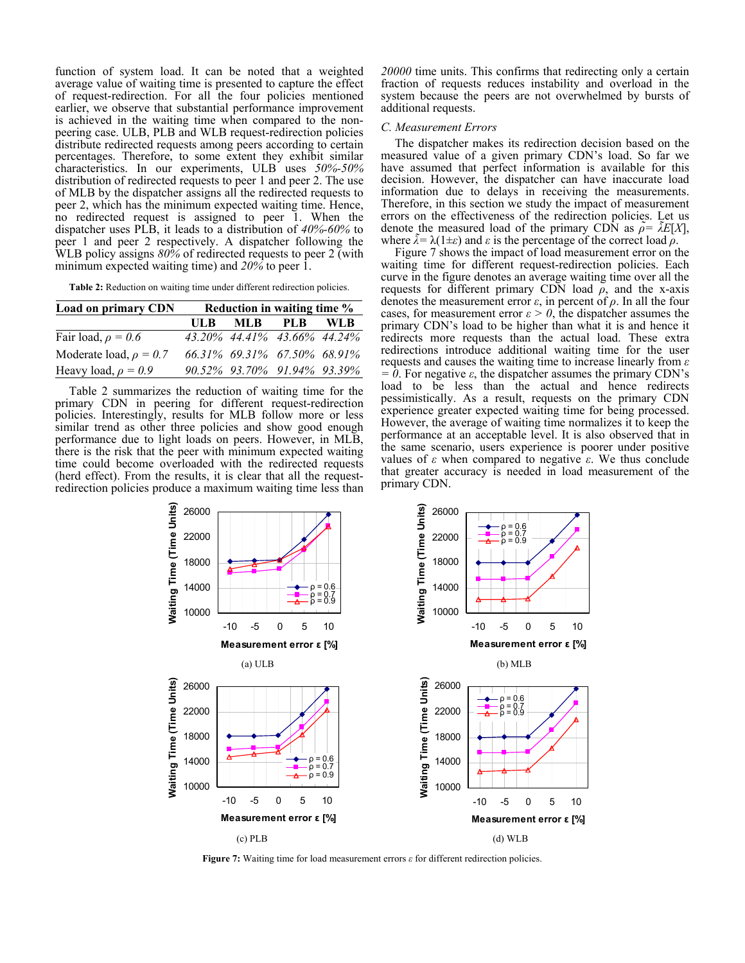function of system load. It can be noted that a weighted average value of waiting time is presented to capture the effect of request-redirection. For all the four policies mentioned earlier, we observe that substantial performance improvement is achieved in the waiting time when compared to the nonpeering case. ULB, PLB and WLB request-redirection policies distribute redirected requests among peers according to certain percentages. Therefore, to some extent they exhibit similar characteristics. In our experiments, ULB uses *50%-50%* distribution of redirected requests to peer 1 and peer 2. The use of MLB by the dispatcher assigns all the redirected requests to peer 2, which has the minimum expected waiting time. Hence, no redirected request is assigned to peer 1. When the dispatcher uses PLB, it leads to a distribution of *40%-60%* to peer 1 and peer 2 respectively. A dispatcher following the WLB policy assigns *80%* of redirected requests to peer 2 (with minimum expected waiting time) and *20%* to peer 1.

|  |  |  |  |  | <b>Table 2:</b> Reduction on waiting time under different redirection policies. |  |  |  |  |  |  |  |  |
|--|--|--|--|--|---------------------------------------------------------------------------------|--|--|--|--|--|--|--|--|
|--|--|--|--|--|---------------------------------------------------------------------------------|--|--|--|--|--|--|--|--|

| <b>Load on primary CDN</b>  | Reduction in waiting time % |         |                             |       |  |  |
|-----------------------------|-----------------------------|---------|-----------------------------|-------|--|--|
|                             | UL B                        | MLB PLB |                             | - WLB |  |  |
| Fair load, $\rho = 0.6$     |                             |         | 43.20% 44.41% 43.66% 44.24% |       |  |  |
| Moderate load, $\rho = 0.7$ |                             |         | 66.31% 69.31% 67.50% 68.91% |       |  |  |
| Heavy load, $\rho = 0.9$    |                             |         | 90.52% 93.70% 91.94% 93.39% |       |  |  |

Table 2 summarizes the reduction of waiting time for the primary CDN in peering for different request-redirection policies. Interestingly, results for MLB follow more or less similar trend as other three policies and show good enough performance due to light loads on peers. However, in MLB, there is the risk that the peer with minimum expected waiting time could become overloaded with the redirected requests (herd effect). From the results, it is clear that all the requestredirection policies produce a maximum waiting time less than

*20000* time units. This confirms that redirecting only a certain fraction of requests reduces instability and overload in the system because the peers are not overwhelmed by bursts of additional requests.

#### *C. Measurement Errors*

The dispatcher makes its redirection decision based on the measured value of a given primary CDN's load. So far we have assumed that perfect information is available for this decision. However, the dispatcher can have inaccurate load information due to delays in receiving the measurements. Therefore, in this section we study the impact of measurement errors on the effectiveness of the redirection policies. Let us denote the measured load of the primary CDN as  $\rho = \lambda E[X]$ , where  $\tilde{\lambda} = \lambda(1 \pm \varepsilon)$  and  $\varepsilon$  is the percentage of the correct load  $\rho$ . Figure 7 shows the impact of load measurement error on the

waiting time for different request-redirection policies. Each curve in the figure denotes an average waiting time over all the requests for different primary CDN load *ρ*, and the x-axis denotes the measurement error  $\varepsilon$ , in percent of  $\rho$ . In all the four cases, for measurement error  $\varepsilon > 0$ , the dispatcher assumes the primary CDN's load to be higher than what it is and hence it redirects more requests than the actual load. These extra redirections introduce additional waiting time for the user requests and causes the waiting time to increase linearly from *ε = 0*. For negative *ε*, the dispatcher assumes the primary CDN's load to be less than the actual and hence redirects pessimistically. As a result, requests on the primary CDN experience greater expected waiting time for being processed. However, the average of waiting time normalizes it to keep the performance at an acceptable level. It is also observed that in the same scenario, users experience is poorer under positive values of *ε* when compared to negative *ε*. We thus conclude that greater accuracy is needed in load measurement of the primary CDN.

![](_page_4_Figure_8.jpeg)

**Figure 7:** Waiting time for load measurement errors *ε* for different redirection policies.